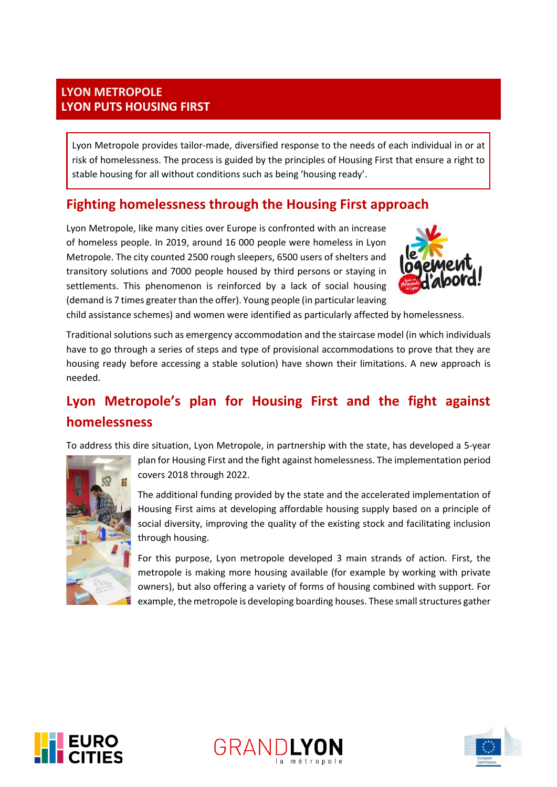### **LYON METROPOLE LYON PUTS HOUSING FIRST**

Lyon Metropole provides tailor-made, diversified response to the needs of each individual in or at risk of homelessness. The process is guided by the principles of Housing First that ensure a right to stable housing for all without conditions such as being 'housing ready'.

# **Fighting homelessness through the Housing First approach**

Lyon Metropole, like many cities over Europe is confronted with an increase of homeless people. In 2019, around 16 000 people were homeless in Lyon Metropole. The city counted 2500 rough sleepers, 6500 users of shelters and transitory solutions and 7000 people housed by third persons or staying in settlements. This phenomenon is reinforced by a lack of social housing (demand is 7 times greater than the offer). Young people (in particular leaving



child assistance schemes) and women were identified as particularly affected by homelessness.

Traditional solutions such as emergency accommodation and the staircase model (in which individuals have to go through a series of steps and type of provisional accommodations to prove that they are housing ready before accessing a stable solution) have shown their limitations. A new approach is needed.

# **Lyon Metropole's plan for Housing First and the fight against homelessness**

To address this dire situation, Lyon Metropole, in partnership with the state, has developed a 5-year



plan for Housing First and the fight against homelessness. The implementation period covers 2018 through 2022.

The additional funding provided by the state and the accelerated implementation of Housing First aims at developing affordable housing supply based on a principle of social diversity, improving the quality of the existing stock and facilitating inclusion through housing.

For this purpose, Lyon metropole developed 3 main strands of action. First, the metropole is making more housing available (for example by working with private owners), but also offering a variety of forms of housing combined with support. For example, the metropole is developing boarding houses. These small structures gather





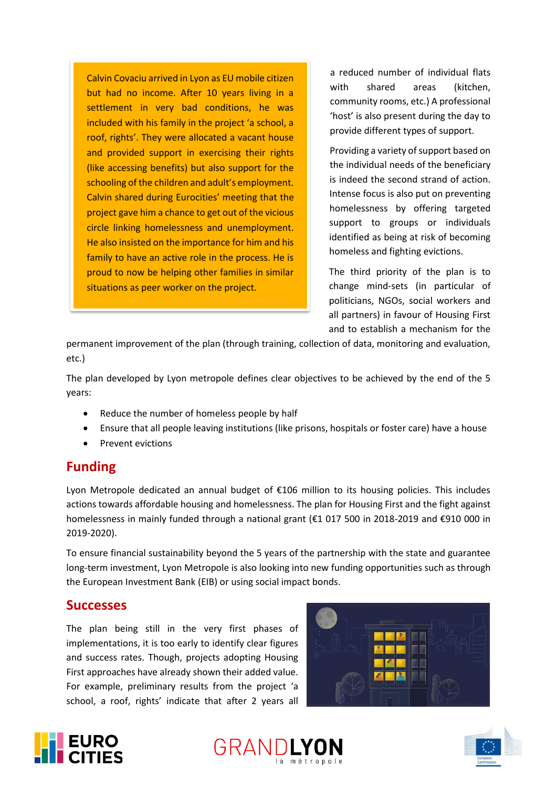Calvin Covaciu arrived in Lyon as EU mobile citizen but had no income. After 10 years living in a settlement in very bad conditions, he was included with his family in the project 'a school, a roof, rights'. They were allocated a vacant house and provided support in exercising their rights (like accessing benefits) but also support for the schooling of the children and adult's employment. Calvin shared during Eurocities' meeting that the project gave him a chance to get out of the vicious circle linking homelessness and unemployment. He also insisted on the importance for him and his family to have an active role in the process. He is proud to now be helping other families in similar situations as peer worker on the project.

a reduced number of individual flats with shared areas (kitchen, community rooms, etc.) A professional 'host' is also present during the day to provide different types of support.

Providing a variety of support based on the individual needs of the beneficiary is indeed the second strand of action. Intense focus is also put on preventing homelessness by offering targeted support to groups or individuals identified as being at risk of becoming homeless and fighting evictions.

The third priority of the plan is to change mind-sets (in particular of politicians, NGOs, social workers and all partners) in favour of Housing First and to establish a mechanism for the

permanent improvement of the plan (through training, collection of data, monitoring and evaluation, etc.)

The plan developed by Lyon metropole defines clear objectives to be achieved by the end of the 5 years:

- Reduce the number of homeless people by half
- Ensure that all people leaving institutions (like prisons, hospitals or foster care) have a house
- Prevent evictions

# **Funding**

Lyon Metropole dedicated an annual budget of €106 million to its housing policies. This includes actions towards affordable housing and homelessness. The plan for Housing First and the fight against homelessness in mainly funded through a national grant (€1 017 500 in 2018-2019 and €910 000 in 2019-2020).

To ensure financial sustainability beyond the 5 years of the partnership with the state and guarantee long-term investment, Lyon Metropole is also looking into new funding opportunities such as through the European Investment Bank (EIB) or using social impact bonds.

#### **Successes**

The plan being still in the very first phases of implementations, it is too early to identify clear figures and success rates. Though, projects adopting Housing First approaches have already shown their added value. For example, preliminary results from the project 'a school, a roof, rights' indicate that after 2 years all







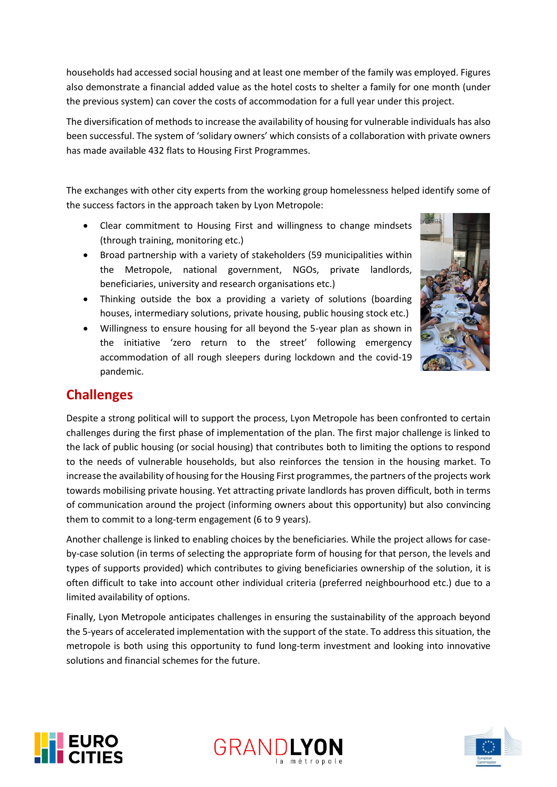households had accessed social housing and at least one member of the family was employed. Figures also demonstrate a financial added value as the hotel costs to shelter a family for one month (under the previous system) can cover the costs of accommodation for a full year under this project.

The diversification of methods to increase the availability of housing for vulnerable individuals has also been successful. The system of 'solidary owners' which consists of a collaboration with private owners has made available 432 flats to Housing First Programmes.

The exchanges with other city experts from the working group homelessness helped identify some of the success factors in the approach taken by Lyon Metropole:

- Clear commitment to Housing First and willingness to change mindsets (through training, monitoring etc.)
- Broad partnership with a variety of stakeholders (59 municipalities within the Metropole, national government, NGOs, private landlords, beneficiaries, university and research organisations etc.)
- Thinking outside the box a providing a variety of solutions (boarding houses, intermediary solutions, private housing, public housing stock etc.)
- Willingness to ensure housing for all beyond the 5-year plan as shown in the initiative 'zero return to the street' following emergency accommodation of all rough sleepers during lockdown and the covid-19 pandemic.



# **Challenges**

Despite a strong political will to support the process, Lyon Metropole has been confronted to certain challenges during the first phase of implementation of the plan. The first major challenge is linked to the lack of public housing (or social housing) that contributes both to limiting the options to respond to the needs of vulnerable households, but also reinforces the tension in the housing market. To increase the availability of housing for the Housing First programmes, the partners of the projects work towards mobilising private housing. Yet attracting private landlords has proven difficult, both in terms of communication around the project (informing owners about this opportunity) but also convincing them to commit to a long-term engagement (6 to 9 years).

Another challenge is linked to enabling choices by the beneficiaries. While the project allows for caseby-case solution (in terms of selecting the appropriate form of housing for that person, the levels and types of supports provided) which contributes to giving beneficiaries ownership of the solution, it is often difficult to take into account other individual criteria (preferred neighbourhood etc.) due to a limited availability of options.

Finally, Lyon Metropole anticipates challenges in ensuring the sustainability of the approach beyond the 5-years of accelerated implementation with the support of the state. To address this situation, the metropole is both using this opportunity to fund long-term investment and looking into innovative solutions and financial schemes for the future.